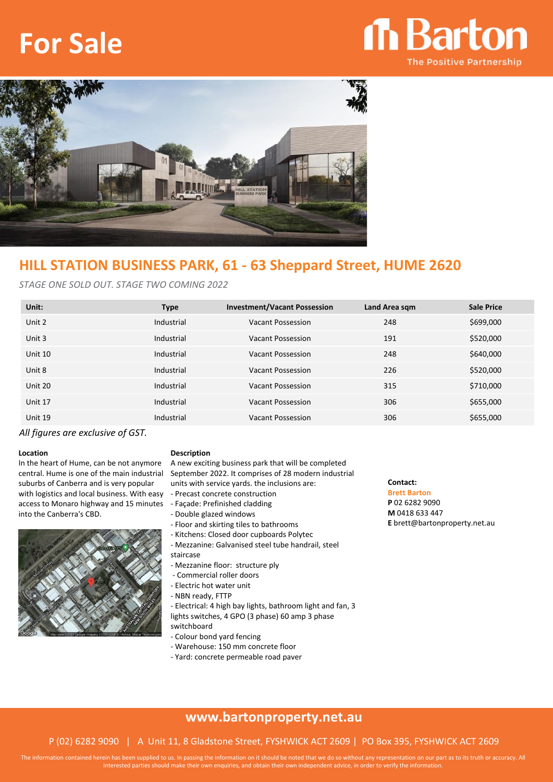# **For Sale**





# **HILL STATION BUSINESS PARK, 61 - 63 Sheppard Street, HUME 2620**

*STAGE ONE SOLD OUT. STAGE TWO COMING 2022*

| Unit:   | <b>Type</b> | <b>Investment/Vacant Possession</b> | Land Area sqm | <b>Sale Price</b> |
|---------|-------------|-------------------------------------|---------------|-------------------|
| Unit 2  | Industrial  | Vacant Possession                   | 248           | \$699,000         |
| Unit 3  | Industrial  | Vacant Possession                   | 191           | \$520,000         |
| Unit 10 | Industrial  | Vacant Possession                   | 248           | \$640,000         |
| Unit 8  | Industrial  | Vacant Possession                   | 226           | \$520,000         |
| Unit 20 | Industrial  | Vacant Possession                   | 315           | \$710,000         |
| Unit 17 | Industrial  | <b>Vacant Possession</b>            | 306           | \$655,000         |
| Unit 19 | Industrial  | Vacant Possession                   | 306           | \$655,000         |
|         |             |                                     |               |                   |

*All figures are exclusive of GST.*

In the heart of Hume, can be not anymore central. Hume is one of the main industrial suburbs of Canberra and is very popular with logistics and local business. With easy - Precast concrete construction access to Monaro highway and 15 minutes - Façade: Prefinished cladding into the Canberra's CBD.



#### **Location Description**

A new exciting business park that will be completed September 2022. It comprises of 28 modern industrial units with service yards. the inclusions are:

- 
- 
- Double glazed windows
- Floor and skirting tiles to bathrooms
- Kitchens: Closed door cupboards Polytec
- Mezzanine: Galvanised steel tube handrail, steel staircase
- Mezzanine floor: structure ply
- Commercial roller doors
- Electric hot water unit
- NBN ready, FTTP
- Electrical: 4 high bay lights, bathroom light and fan, 3
- lights switches, 4 GPO (3 phase) 60 amp 3 phase switchboard
	- Colour bond yard fencing
	- Warehouse: 150 mm concrete floor
	- Yard: concrete permeable road paver

#### **Contact:**

**Brett Barton P** 02 6282 9090 **M** 0418 633 447 **E** brett@bartonproperty.net.au

### **www.bartonproperty.net.au**

### P (02) 6282 9090 | A Unit 11, 8 Gladstone Street, FYSHWICK ACT 2609 | PO Box 395, FYSHWICK ACT 2609

The information contained herein has been supplied to us. In passing the information on it should be noted that we do so without any representation on our part as to its truth or accuracy. All interested parties should make their own enquiries, and obtain their own independent advice, in order to verify the information.